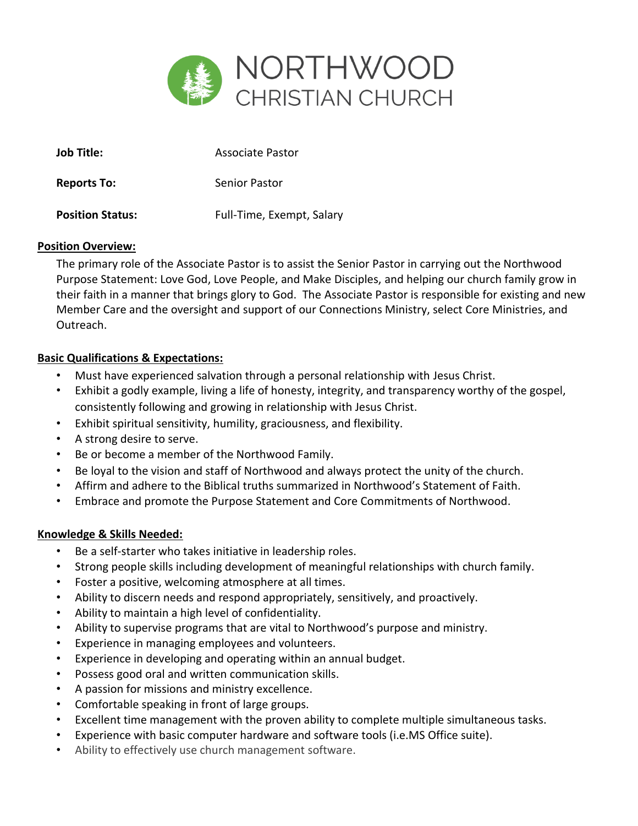

| Job Title:              | Associate Pastor          |
|-------------------------|---------------------------|
| <b>Reports To:</b>      | Senior Pastor             |
| <b>Position Status:</b> | Full-Time, Exempt, Salary |

## **Position Overview:**

The primary role of the Associate Pastor is to assist the Senior Pastor in carrying out the Northwood Purpose Statement: Love God, Love People, and Make Disciples, and helping our church family grow in their faith in a manner that brings glory to God. The Associate Pastor is responsible for existing and new Member Care and the oversight and support of our Connections Ministry, select Core Ministries, and Outreach.

## **Basic Qualifications & Expectations:**

- Must have experienced salvation through a personal relationship with Jesus Christ.
- Exhibit a godly example, living a life of honesty, integrity, and transparency worthy of the gospel, consistently following and growing in relationship with Jesus Christ.
- Exhibit spiritual sensitivity, humility, graciousness, and flexibility.
- A strong desire to serve.
- Be or become a member of the Northwood Family.
- Be loyal to the vision and staff of Northwood and always protect the unity of the church.
- Affirm and adhere to the Biblical truths summarized in Northwood's Statement of Faith.
- Embrace and promote the Purpose Statement and Core Commitments of Northwood.

## **Knowledge & Skills Needed:**

- Be a self-starter who takes initiative in leadership roles.
- Strong people skills including development of meaningful relationships with church family.
- Foster a positive, welcoming atmosphere at all times.
- Ability to discern needs and respond appropriately, sensitively, and proactively.
- Ability to maintain a high level of confidentiality.
- Ability to supervise programs that are vital to Northwood's purpose and ministry.
- Experience in managing employees and volunteers.
- Experience in developing and operating within an annual budget.
- Possess good oral and written communication skills.
- A passion for missions and ministry excellence.
- Comfortable speaking in front of large groups.
- Excellent time management with the proven ability to complete multiple simultaneous tasks.
- Experience with basic computer hardware and software tools (i.e.MS Office suite).
- Ability to effectively use church management software.